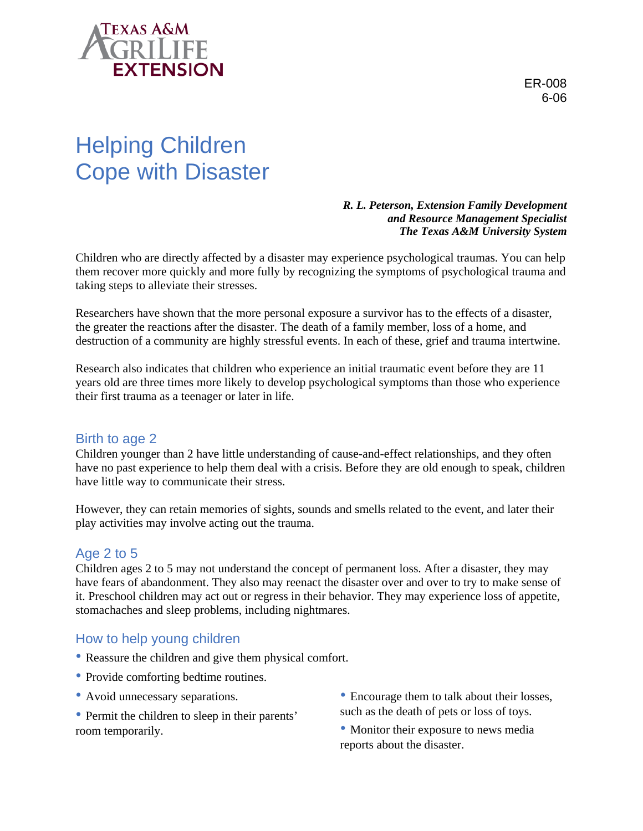

ER-008 6-06

# Helping Children Cope with Disaster

*R. L. Peterson, Extension Family Development and Resource Management Specialist The Texas A&M University System* 

Children who are directly affected by a disaster may experience psychological traumas. You can help them recover more quickly and more fully by recognizing the symptoms of psychological trauma and taking steps to alleviate their stresses.

Researchers have shown that the more personal exposure a survivor has to the effects of a disaster, the greater the reactions after the disaster. The death of a family member, loss of a home, and destruction of a community are highly stressful events. In each of these, grief and trauma intertwine.

Research also indicates that children who experience an initial traumatic event before they are 11 years old are three times more likely to develop psychological symptoms than those who experience their first trauma as a teenager or later in life.

# Birth to age 2

Children younger than 2 have little understanding of cause-and-effect relationships, and they often have no past experience to help them deal with a crisis. Before they are old enough to speak, children have little way to communicate their stress.

However, they can retain memories of sights, sounds and smells related to the event, and later their play activities may involve acting out the trauma.

### Age 2 to 5

Children ages 2 to 5 may not understand the concept of permanent loss. After a disaster, they may have fears of abandonment. They also may reenact the disaster over and over to try to make sense of it. Preschool children may act out or regress in their behavior. They may experience loss of appetite, stomachaches and sleep problems, including nightmares.

### How to help young children

- Reassure the children and give them physical comfort.
- Provide comforting bedtime routines.
- Avoid unnecessary separations.
- Permit the children to sleep in their parents' room temporarily.
- Encourage them to talk about their losses, such as the death of pets or loss of toys.
- Monitor their exposure to news media reports about the disaster.